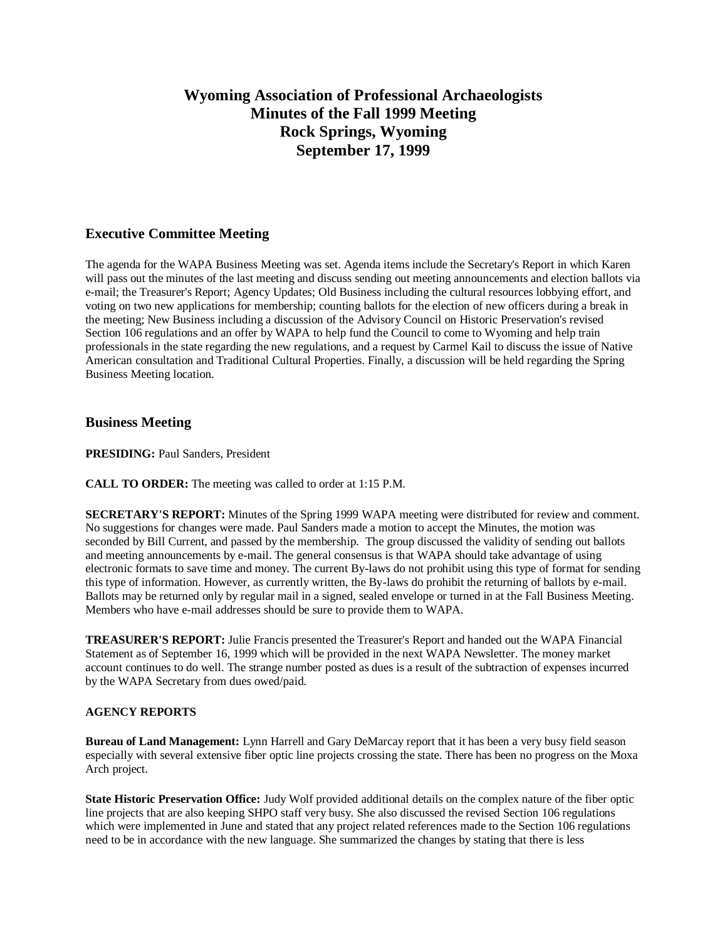# **Wyoming Association of Professional Archaeologists Minutes of the Fall 1999 Meeting Rock Springs, Wyoming September 17, 1999**

# **Executive Committee Meeting**

The agenda for the WAPA Business Meeting was set. Agenda items include the Secretary's Report in which Karen will pass out the minutes of the last meeting and discuss sending out meeting announcements and election ballots via e-mail; the Treasurer's Report; Agency Updates; Old Business including the cultural resources lobbying effort, and voting on two new applications for membership; counting ballots for the election of new officers during a break in the meeting; New Business including a discussion of the Advisory Council on Historic Preservation's revised Section 106 regulations and an offer by WAPA to help fund the Council to come to Wyoming and help train professionals in the state regarding the new regulations, and a request by Carmel Kail to discuss the issue of Native American consultation and Traditional Cultural Properties. Finally, a discussion will be held regarding the Spring Business Meeting location.

## **Business Meeting**

**PRESIDING: Paul Sanders, President** 

**CALL TO ORDER:** The meeting was called to order at 1:15 P.M.

**SECRETARY'S REPORT:** Minutes of the Spring 1999 WAPA meeting were distributed for review and comment. No suggestions for changes were made. Paul Sanders made a motion to accept the Minutes, the motion was seconded by Bill Current, and passed by the membership. The group discussed the validity of sending out ballots and meeting announcements by e-mail. The general consensus is that WAPA should take advantage of using electronic formats to save time and money. The current By-laws do not prohibit using this type of format for sending this type of information. However, as currently written, the By-laws do prohibit the returning of ballots by e-mail. Ballots may be returned only by regular mail in a signed, sealed envelope or turned in at the Fall Business Meeting. Members who have e-mail addresses should be sure to provide them to WAPA.

**TREASURER'S REPORT:** Julie Francis presented the Treasurer's Report and handed out the WAPA Financial Statement as of September 16, 1999 which will be provided in the next WAPA Newsletter. The money market account continues to do well. The strange number posted as dues is a result of the subtraction of expenses incurred by the WAPA Secretary from dues owed/paid.

## **AGENCY REPORTS**

**Bureau of Land Management:** Lynn Harrell and Gary DeMarcay report that it has been a very busy field season especially with several extensive fiber optic line projects crossing the state. There has been no progress on the Moxa Arch project.

**State Historic Preservation Office:** Judy Wolf provided additional details on the complex nature of the fiber optic line projects that are also keeping SHPO staff very busy. She also discussed the revised Section 106 regulations which were implemented in June and stated that any project related references made to the Section 106 regulations need to be in accordance with the new language. She summarized the changes by stating that there is less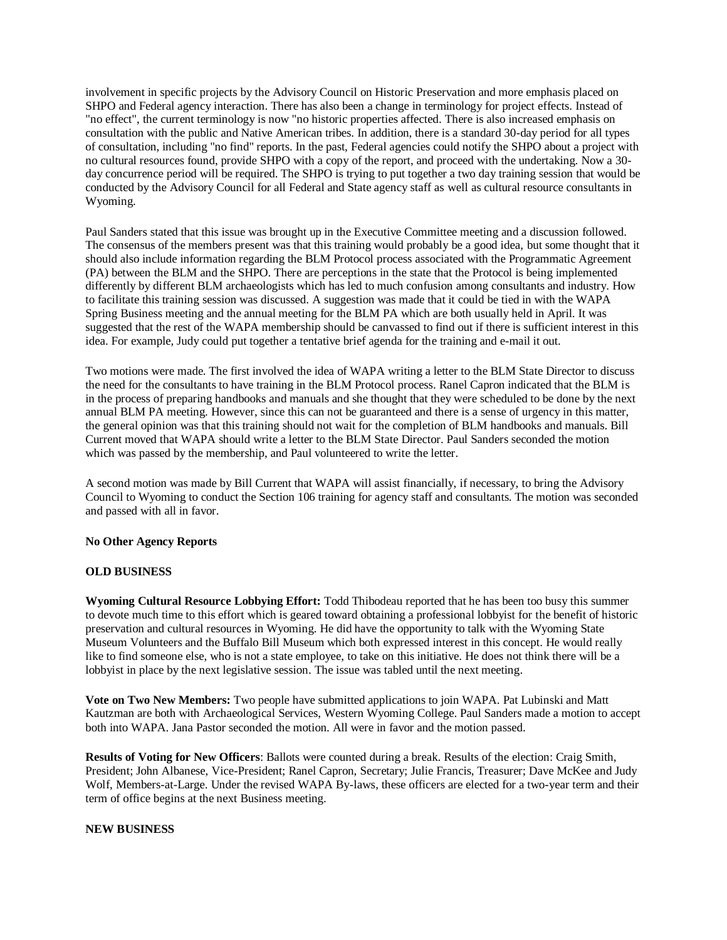involvement in specific projects by the Advisory Council on Historic Preservation and more emphasis placed on SHPO and Federal agency interaction. There has also been a change in terminology for project effects. Instead of "no effect", the current terminology is now "no historic properties affected. There is also increased emphasis on consultation with the public and Native American tribes. In addition, there is a standard 30-day period for all types of consultation, including "no find" reports. In the past, Federal agencies could notify the SHPO about a project with no cultural resources found, provide SHPO with a copy of the report, and proceed with the undertaking. Now a 30 day concurrence period will be required. The SHPO is trying to put together a two day training session that would be conducted by the Advisory Council for all Federal and State agency staff as well as cultural resource consultants in Wyoming.

Paul Sanders stated that this issue was brought up in the Executive Committee meeting and a discussion followed. The consensus of the members present was that this training would probably be a good idea, but some thought that it should also include information regarding the BLM Protocol process associated with the Programmatic Agreement (PA) between the BLM and the SHPO. There are perceptions in the state that the Protocol is being implemented differently by different BLM archaeologists which has led to much confusion among consultants and industry. How to facilitate this training session was discussed. A suggestion was made that it could be tied in with the WAPA Spring Business meeting and the annual meeting for the BLM PA which are both usually held in April. It was suggested that the rest of the WAPA membership should be canvassed to find out if there is sufficient interest in this idea. For example, Judy could put together a tentative brief agenda for the training and e-mail it out.

Two motions were made. The first involved the idea of WAPA writing a letter to the BLM State Director to discuss the need for the consultants to have training in the BLM Protocol process. Ranel Capron indicated that the BLM is in the process of preparing handbooks and manuals and she thought that they were scheduled to be done by the next annual BLM PA meeting. However, since this can not be guaranteed and there is a sense of urgency in this matter, the general opinion was that this training should not wait for the completion of BLM handbooks and manuals. Bill Current moved that WAPA should write a letter to the BLM State Director. Paul Sanders seconded the motion which was passed by the membership, and Paul volunteered to write the letter.

A second motion was made by Bill Current that WAPA will assist financially, if necessary, to bring the Advisory Council to Wyoming to conduct the Section 106 training for agency staff and consultants. The motion was seconded and passed with all in favor.

#### **No Other Agency Reports**

## **OLD BUSINESS**

**Wyoming Cultural Resource Lobbying Effort:** Todd Thibodeau reported that he has been too busy this summer to devote much time to this effort which is geared toward obtaining a professional lobbyist for the benefit of historic preservation and cultural resources in Wyoming. He did have the opportunity to talk with the Wyoming State Museum Volunteers and the Buffalo Bill Museum which both expressed interest in this concept. He would really like to find someone else, who is not a state employee, to take on this initiative. He does not think there will be a lobbyist in place by the next legislative session. The issue was tabled until the next meeting.

**Vote on Two New Members:** Two people have submitted applications to join WAPA. Pat Lubinski and Matt Kautzman are both with Archaeological Services, Western Wyoming College. Paul Sanders made a motion to accept both into WAPA. Jana Pastor seconded the motion. All were in favor and the motion passed.

**Results of Voting for New Officers**: Ballots were counted during a break. Results of the election: Craig Smith, President; John Albanese, Vice-President; Ranel Capron, Secretary; Julie Francis, Treasurer; Dave McKee and Judy Wolf, Members-at-Large. Under the revised WAPA By-laws, these officers are elected for a two-year term and their term of office begins at the next Business meeting.

#### **NEW BUSINESS**